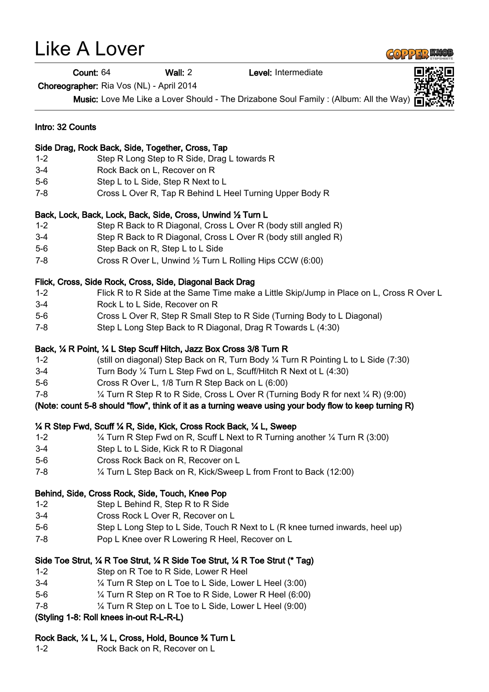# Like A Lover

Count: 64 Wall: 2 Level: Intermediate

Choreographer: Ria Vos (NL) - April 2014

Music: Love Me Like a Lover Should - The Drizabone Soul Family : (Album: All the Way)

# Intro: 32 Counts Side Drag, Rock Back, Side, Together, Cross, Tap 1-2 Step R Long Step to R Side, Drag L towards R 3-4 Rock Back on L, Recover on R 5-6 Step L to L Side, Step R Next to L 7-8 Cross L Over R, Tap R Behind L Heel Turning Upper Body R Back, Lock, Back, Lock, Back, Side, Cross, Unwind ½ Turn L 1-2 Step R Back to R Diagonal, Cross L Over R (body still angled R) 3-4 Step R Back to R Diagonal, Cross L Over R (body still angled R) 5-6 Step Back on R, Step L to L Side 7-8 Cross R Over L, Unwind ½ Turn L Rolling Hips CCW (6:00)

#### Flick, Cross, Side Rock, Cross, Side, Diagonal Back Drag

- 1-2 Flick R to R Side at the Same Time make a Little Skip/Jump in Place on L, Cross R Over L
- 3-4 Rock L to L Side, Recover on R
- 5-6 Cross L Over R, Step R Small Step to R Side (Turning Body to L Diagonal)
- 7-8 Step L Long Step Back to R Diagonal, Drag R Towards L (4:30)

#### Back, ¼ R Point, ¼ L Step Scuff Hitch, Jazz Box Cross 3/8 Turn R

- 1-2 (still on diagonal) Step Back on R, Turn Body ¼ Turn R Pointing L to L Side (7:30)
- 3-4 Turn Body ¼ Turn L Step Fwd on L, Scuff/Hitch R Next ot L (4:30)
- 5-6 Cross R Over L, 1/8 Turn R Step Back on L (6:00)
- 7-8 ¼ Turn R Step R to R Side, Cross L Over R (Turning Body R for next ¼ R) (9:00)

#### (Note: count 5-8 should "flow", think of it as a turning weave using your body flow to keep turning R)

#### ¼ R Step Fwd, Scuff ¼ R, Side, Kick, Cross Rock Back, ¼ L, Sweep

- 1-2 ¼ Turn R Step Fwd on R, Scuff L Next to R Turning another ¼ Turn R (3:00)
- 3-4 Step L to L Side, Kick R to R Diagonal
- 5-6 Cross Rock Back on R, Recover on L
- 7-8 ¼ Turn L Step Back on R, Kick/Sweep L from Front to Back (12:00)

# Behind, Side, Cross Rock, Side, Touch, Knee Pop

- 1-2 Step L Behind R, Step R to R Side
- 3-4 Cross Rock L Over R, Recover on L
- 5-6 Step L Long Step to L Side, Touch R Next to L (R knee turned inwards, heel up)
- 7-8 Pop L Knee over R Lowering R Heel, Recover on L

# Side Toe Strut, ¼ R Toe Strut, ¼ R Side Toe Strut, ¼ R Toe Strut (\* Tag)

- 1-2 Step on R Toe to R Side, Lower R Heel
- 3-4 ¼ Turn R Step on L Toe to L Side, Lower L Heel (3:00)
- 5-6 ¼ Turn R Step on R Toe to R Side, Lower R Heel (6:00)
- 7-8 ¼ Turn R Step on L Toe to L Side, Lower L Heel (9:00)

# (Styling 1-8: Roll knees in-out R-L-R-L)

# Rock Back, ¼ L, ¼ L, Cross, Hold, Bounce ¾ Turn L

1-2 Rock Back on R, Recover on L